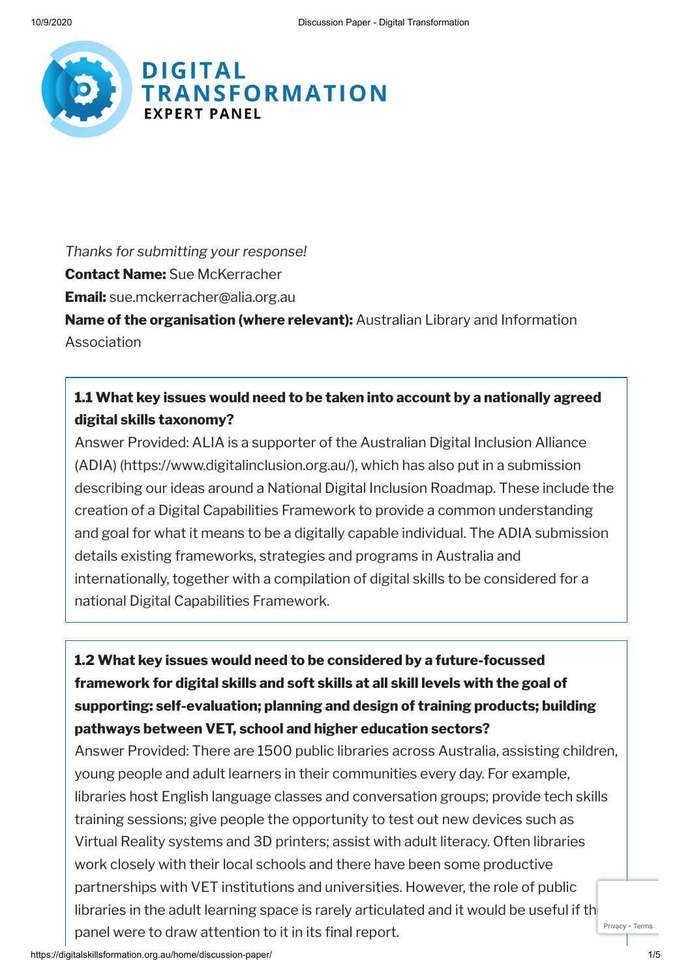

*Thanks for submitting your response!* **Contact Name:** Sue McKerracher **Email:** sue.mckerracher@alia.org.au **Name of the organisation (where relevant):** Australian Library and Information Association

### **1.1 What key issues would need to be taken into account by a nationally agreed digital skills taxonomy?**

Answer Provided: ALIA is a supporter of the Australian Digital Inclusion Alliance (ADIA) (https://www.digitalinclusion.org.au/), which has also put in a submission describing our ideas around a National Digital Inclusion Roadmap. These include the creation of a Digital Capabilities Framework to provide a common understanding and goal for what it means to be a digitally capable individual. The ADIA submission details existing frameworks, strategies and programs in Australia and internationally, together with a compilation of digital skills to be considered for a national Digital Capabilities Framework.

# **1.2 What key issues would need to be considered by a future-focussed framework for digital skills and soft skills at all skill levels with the goal of supporting: self-evaluation; planning and design of training products; building pathways between VET, school and higher education sectors?**

Answer Provided: There are 1500 public libraries across Australia, assisting children, young people and adult learners in their communities every day. For example, libraries host English language classes and conversation groups; provide tech skills training sessions; give people the opportunity to test out new devices such as Virtual Reality systems and 3D printers; assist with adult literacy. Often libraries work closely with their local schools and there have been some productive partnerships with VET institutions and universities. However, the role of public libraries in the adult learning space is rarely articulated and it would be useful if the panel were to draw attention to it in its final report. [Privacy](https://www.google.com/intl/en/policies/privacy/) - [Terms](https://www.google.com/intl/en/policies/terms/)

https://digitalskillsformation.org.au/home/discussion-paper/ 1/5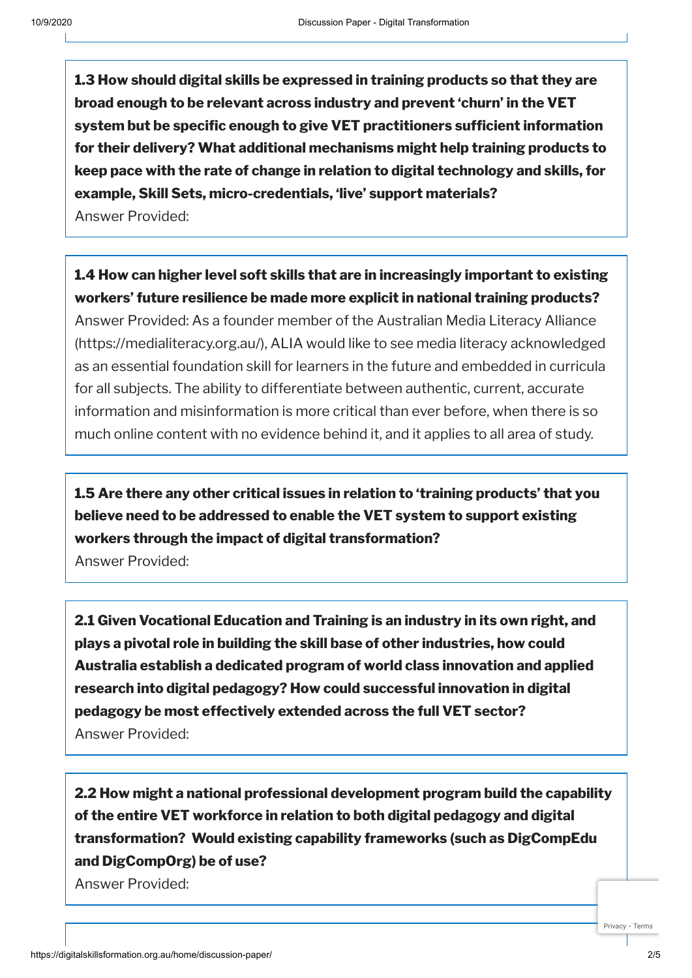**1.3 How should digital skills be expressed in training products so that they are broad enough to be relevant across industry and prevent 'churn' in the VET system** but be specific enough to give VET practitioners sufficient information **for their delivery? What additional mechanisms might help training products to keep pace with the rate of change in relation to digital technology and skills, for example, Skill Sets, micro-credentials, 'live' support materials?** Answer Provided:

## **1.4 How can higher level soft skills that are in increasingly important to existing workers' future resilience be made more explicit in national training products?**

Answer Provided: As a founder member of the Australian Media Literacy Alliance (https://medialiteracy.org.au/), ALIA would like to see media literacy acknowledged as an essential foundation skill for learners in the future and embedded in curricula for all subjects. The ability to differentiate between authentic, current, accurate information and misinformation is more critical than ever before, when there is so much online content with no evidence behind it, and it applies to all area of study.

**1.5 Are there any other critical issues in relation to 'training products' that you believe need to be addressed to enable the VET system to support existing workers through the impact of digital transformation?**

Answer Provided:

**2.1 Given Vocational Education and Training is an industry in its own right, and plays a pivotal role in building the skill base of other industries, how could Australia establish a dedicated program of world class innovation and applied research into digital pedagogy? How could successful innovation in digital pedagogy be most effectively extended across the full VET sector?** Answer Provided:

**2.2 How might a national professional development program build the capability of the entire VET workforce in relation to both digital pedagogy and digital transformation? Would existing capability frameworks (such as DigCompEdu and DigCompOrg) be of use?**

Answer Provided: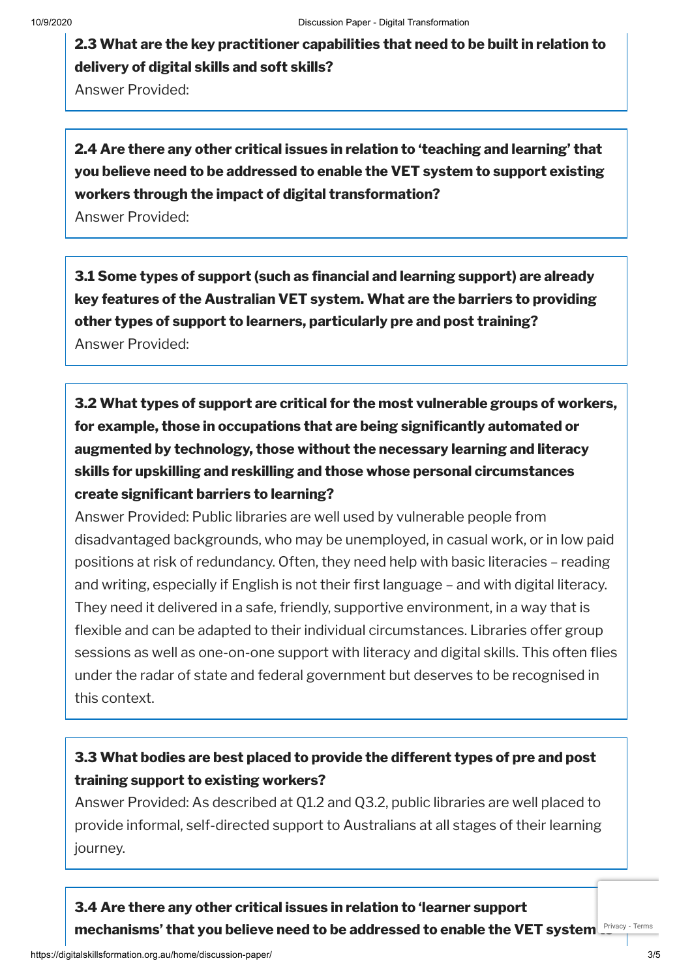**2.3 What are the key practitioner capabilities that need to be built in relation to delivery of digital skills and soft skills?**

Answer Provided:

# **2.4 Are there any other critical issues in relation to 'teaching and learning' that you believe need to be addressed to enable the VET system to support existing workers through the impact of digital transformation?**

Answer Provided:

**3.1 Some types of support (such as nancial and learning support) are already key features of the Australian VET system. What are the barriers to providing other types of support to learners, particularly pre and post training?** Answer Provided:

**3.2 What types of support are critical for the most vulnerable groups of workers, for example, those in occupations that are being signicantly automated or augmented by technology, those without the necessary learning and literacy skills for upskilling and reskilling and those whose personal circumstances create signicant barriers to learning?**

Answer Provided: Public libraries are well used by vulnerable people from disadvantaged backgrounds, who may be unemployed, in casual work, or in low paid positions at risk of redundancy. Often, they need help with basic literacies – reading and writing, especially if English is not their first language – and with digital literacy. They need it delivered in a safe, friendly, supportive environment, in a way that is flexible and can be adapted to their individual circumstances. Libraries offer group sessions as well as one-on-one support with literacy and digital skills. This often flies under the radar of state and federal government but deserves to be recognised in this context.

### **3.3 What bodies are best placed to provide the different types of pre and post training support to existing workers?**

Answer Provided: As described at Q1.2 and Q3.2, public libraries are well placed to provide informal, self-directed support to Australians at all stages of their learning journey.

**3.4 Are there any other critical issues in relation to 'learner support mechanisms' that you believe need to be addressed to enable the VET system to** [Privacy](https://www.google.com/intl/en/policies/privacy/) - [Terms](https://www.google.com/intl/en/policies/terms/)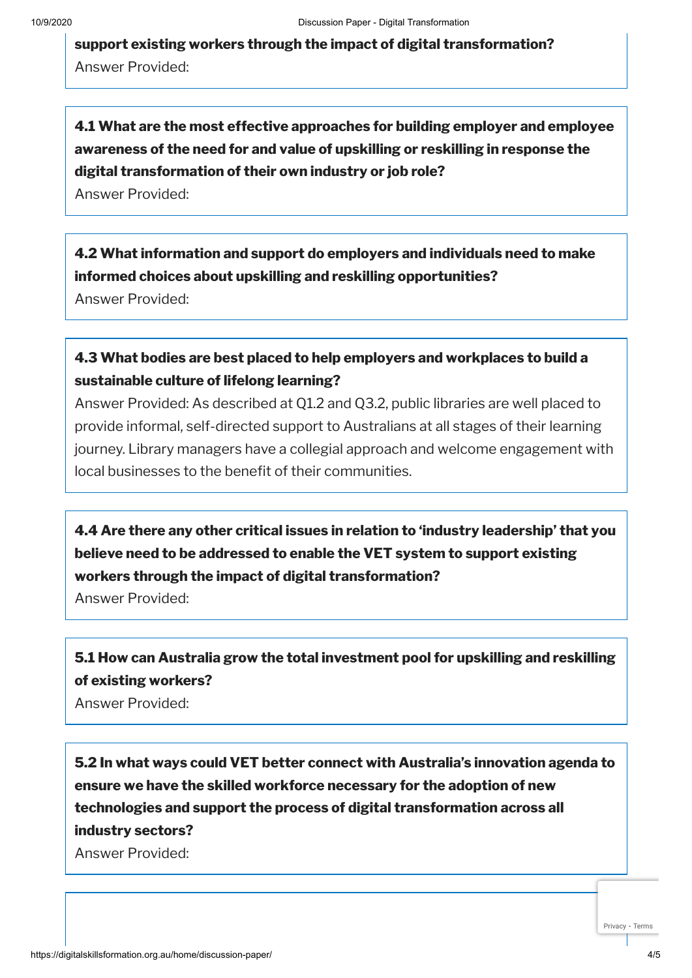**support existing workers through the impact of digital transformation?** Answer Provided:

**4.1 What are the most effective approaches for building employer and employee awareness of the need for and value of upskilling or reskilling in response the digital transformation of their own industry or job role?**

Answer Provided:

**4.2 What information and support do employers and individuals need to make informed choices about upskilling and reskilling opportunities?**

Answer Provided:

#### **4.3 What bodies are best placed to help employers and workplaces to build a sustainable culture of lifelong learning?**

Answer Provided: As described at Q1.2 and Q3.2, public libraries are well placed to provide informal, self-directed support to Australians at all stages of their learning journey. Library managers have a collegial approach and welcome engagement with local businesses to the benefit of their communities.

**4.4 Are there any other critical issues in relation to 'industry leadership' that you believe need to be addressed to enable the VET system to support existing workers through the impact of digital transformation?**

Answer Provided:

### **5.1 How can Australia grow the total investment pool for upskilling and reskilling of existing workers?**

Answer Provided:

**5.2 In what ways could VET better connect with Australia's innovation agenda to ensure we have the skilled workforce necessary for the adoption of new technologies and support the process of digital transformation across all industry sectors?**

Answer Provided:

[Privacy](https://www.google.com/intl/en/policies/privacy/) - [Terms](https://www.google.com/intl/en/policies/terms/)